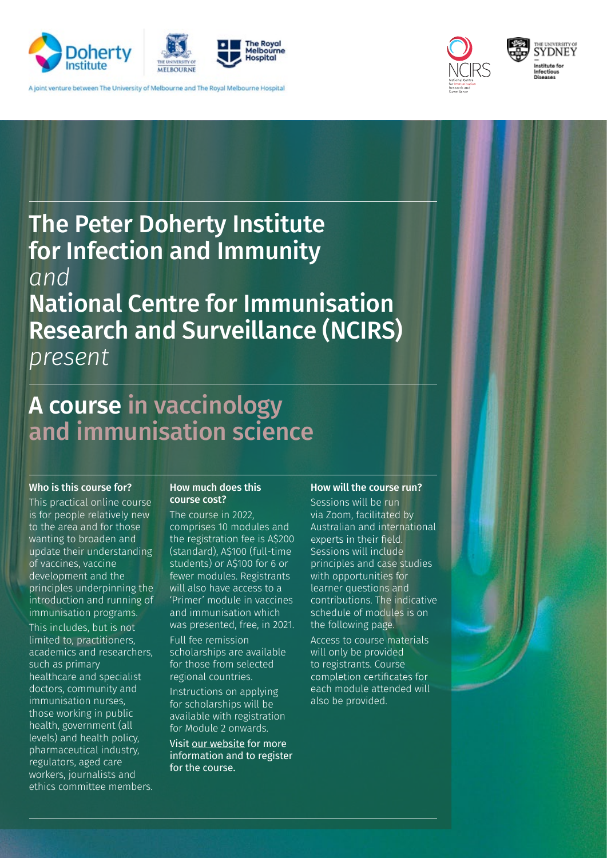

A joint venture between The University of Melbourne and The Royal Melbourne Hospital



# The Peter Doherty Institute for Infection and Immunity *and*

### National Centre for Immunisation Research and Surveillance (NCIRS)

*present*

### A course in vaccinology and immunisation science

#### Who is this course for?

This practical online course is for people relatively new to the area and for those wanting to broaden and update their understanding of vaccines, vaccine development and the principles underpinning the introduction and running of immunisation programs. This includes, but is not limited to, practitioners, academics and researchers, such as primary healthcare and specialist doctors, community and immunisation nurses, those working in public health, government (all levels) and health policy, pharmaceutical industry, regulators, aged care workers, journalists and ethics committee members.

#### How much does this course cost?

The course in 2022, comprises 10 modules and the registration fee is A\$200 (standard), A\$100 (full-time students) or A\$100 for 6 or fewer modules. Registrants will also have access to a 'Primer' module in vaccines and immunisation which was presented, free, in 2021. Full fee remission scholarships are available for those from selected regional countries. Instructions on applying for scholarships will be

available with registration for Module 2 onwards. Visit our website for more

information and to register for the course.

#### How will the course run?

Sessions will be run via Zoom, facilitated by Australian and international experts in their field. Sessions will include principles and case studies with opportunities for learner questions and contributions. The indicative schedule of modules is on the following page. Access to course materials will only be provided to registrants. Course completion certificates for each module attended will also be provided.